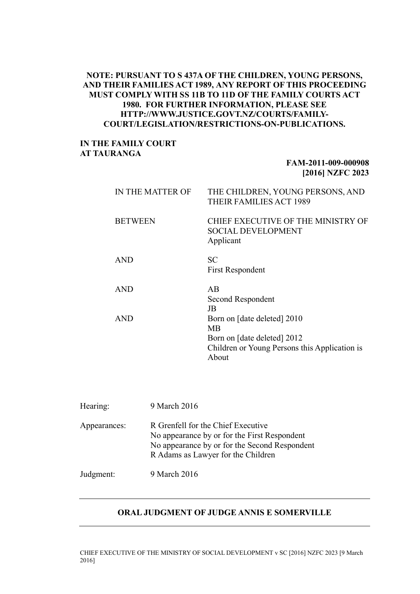## **NOTE: PURSUANT TO S 437A OF THE CHILDREN, YOUNG PERSONS, AND THEIR FAMILIES ACT 1989, ANY REPORT OF THIS PROCEEDING MUST COMPLY WITH SS 11B TO 11D OF THE FAMILY COURTS ACT 1980. FOR FURTHER INFORMATION, PLEASE SEE HTTP://WWW.JUSTICE.GOVT.NZ/COURTS/FAMILY-COURT/LEGISLATION/RESTRICTIONS-ON-PUBLICATIONS.**

## **IN THE FAMILY COURT AT TAURANGA**

## **FAM-2011-009-000908 [2016] NZFC 2023**

| IN THE MATTER OF | THE CHILDREN, YOUNG PERSONS, AND<br>THEIR FAMILIES ACT 1989                                                                       |
|------------------|-----------------------------------------------------------------------------------------------------------------------------------|
| <b>BETWEEN</b>   | CHIEF EXECUTIVE OF THE MINISTRY OF<br><b>SOCIAL DEVELOPMENT</b><br>Applicant                                                      |
| <b>AND</b>       | SC<br><b>First Respondent</b>                                                                                                     |
| <b>AND</b>       | AB<br>Second Respondent<br>JB                                                                                                     |
| <b>AND</b>       | Born on [date deleted] 2010<br><b>MB</b><br>Born on [date deleted] 2012<br>Children or Young Persons this Application is<br>About |

| Hearing:     | 9 March 2016                                                                                                                                                              |
|--------------|---------------------------------------------------------------------------------------------------------------------------------------------------------------------------|
| Appearances: | R Grenfell for the Chief Executive<br>No appearance by or for the First Respondent<br>No appearance by or for the Second Respondent<br>R Adams as Lawyer for the Children |
| Judgment:    | 9 March 2016                                                                                                                                                              |

## **ORAL JUDGMENT OF JUDGE ANNIS E SOMERVILLE**

CHIEF EXECUTIVE OF THE MINISTRY OF SOCIAL DEVELOPMENT v SC [2016] NZFC 2023 [9 March 2016]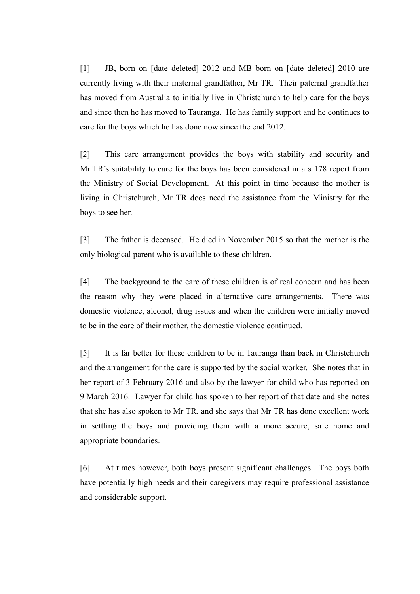[1] JB, born on [date deleted] 2012 and MB born on [date deleted] 2010 are currently living with their maternal grandfather, Mr TR. Their paternal grandfather has moved from Australia to initially live in Christchurch to help care for the boys and since then he has moved to Tauranga. He has family support and he continues to care for the boys which he has done now since the end 2012.

[2] This care arrangement provides the boys with stability and security and Mr TR's suitability to care for the boys has been considered in a s 178 report from the Ministry of Social Development. At this point in time because the mother is living in Christchurch, Mr TR does need the assistance from the Ministry for the boys to see her.

[3] The father is deceased. He died in November 2015 so that the mother is the only biological parent who is available to these children.

[4] The background to the care of these children is of real concern and has been the reason why they were placed in alternative care arrangements. There was domestic violence, alcohol, drug issues and when the children were initially moved to be in the care of their mother, the domestic violence continued.

[5] It is far better for these children to be in Tauranga than back in Christchurch and the arrangement for the care is supported by the social worker. She notes that in her report of 3 February 2016 and also by the lawyer for child who has reported on 9 March 2016. Lawyer for child has spoken to her report of that date and she notes that she has also spoken to Mr TR, and she says that Mr TR has done excellent work in settling the boys and providing them with a more secure, safe home and appropriate boundaries.

[6] At times however, both boys present significant challenges. The boys both have potentially high needs and their caregivers may require professional assistance and considerable support.